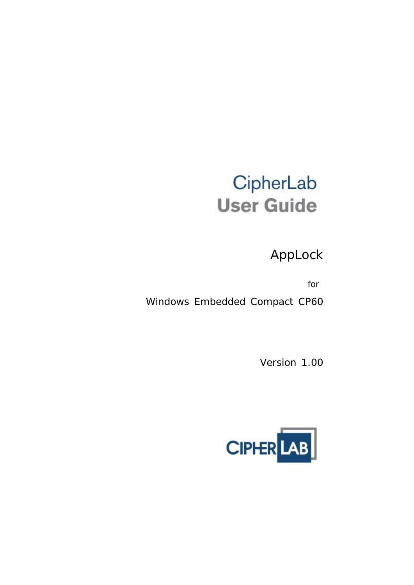# CipherLab **User Guide**

## AppLock

for Windows Embedded Compact CP60

Version 1.00

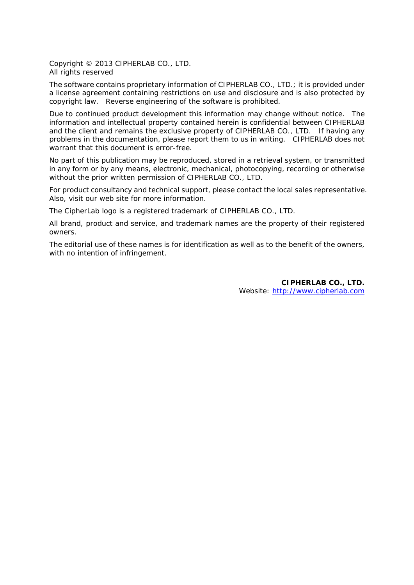Copyright © 2013 CIPHERLAB CO., LTD. All rights reserved

The software contains proprietary information of CIPHERLAB CO., LTD.; it is provided under a license agreement containing restrictions on use and disclosure and is also protected by copyright law. Reverse engineering of the software is prohibited.

Due to continued product development this information may change without notice. The information and intellectual property contained herein is confidential between CIPHERLAB and the client and remains the exclusive property of CIPHERLAB CO., LTD. If having any problems in the documentation, please report them to us in writing. CIPHERLAB does not warrant that this document is error-free.

No part of this publication may be reproduced, stored in a retrieval system, or transmitted in any form or by any means, electronic, mechanical, photocopying, recording or otherwise without the prior written permission of CIPHERLAB CO., LTD.

For product consultancy and technical support, please contact the local sales representative. Also, visit our web site for more information.

The CipherLab logo is a registered trademark of CIPHERLAB CO., LTD.

All brand, product and service, and trademark names are the property of their registered owners.

The editorial use of these names is for identification as well as to the benefit of the owners, with no intention of infringement.

> **CIPHERLAB CO., LTD.** Website: http://www.cipherlab.com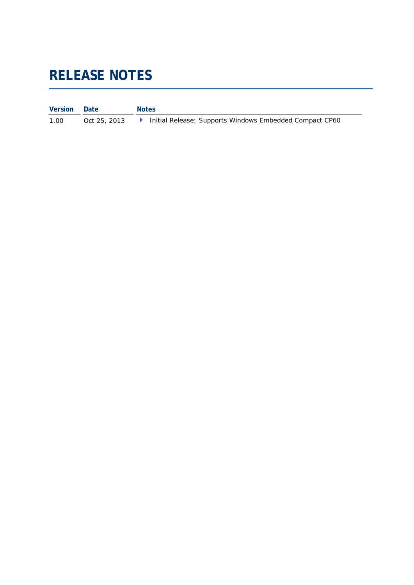# **RELEASE NOTES**

| <b>Version</b> Date |              | <b>Notes</b>                                            |  |  |
|---------------------|--------------|---------------------------------------------------------|--|--|
| 1.00                | Oct 25, 2013 | Initial Release: Supports Windows Embedded Compact CP60 |  |  |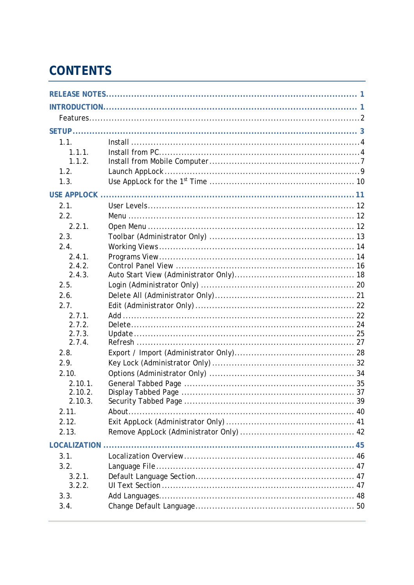## **CONTENTS**

| 1.1.               |  |
|--------------------|--|
| 1.1.1.             |  |
| 1.1.2.             |  |
| 1.2.               |  |
| 1.3.               |  |
|                    |  |
|                    |  |
| 2.1.               |  |
| 2.2.               |  |
| 2.2.1.             |  |
| 2.3.               |  |
| 2.4.               |  |
| 2.4.1.             |  |
| 2.4.2.             |  |
| 2.4.3.             |  |
| 2.5.               |  |
| 2.6.               |  |
| 2.7.               |  |
| 2.7.1.             |  |
| 2.7.2.             |  |
| 2.7.3.<br>2.7.4.   |  |
|                    |  |
| 2.8.               |  |
| 2.9.               |  |
| 2.10.              |  |
| 2.10.1.<br>2.10.2. |  |
| 2.10.3.            |  |
| 2.11.              |  |
| 2.12.              |  |
| 2.13.              |  |
|                    |  |
|                    |  |
| 3.1.               |  |
| 3.2.               |  |
| 3.2.1.             |  |
| 3.2.2.             |  |
| 3.3.               |  |
| 3.4.               |  |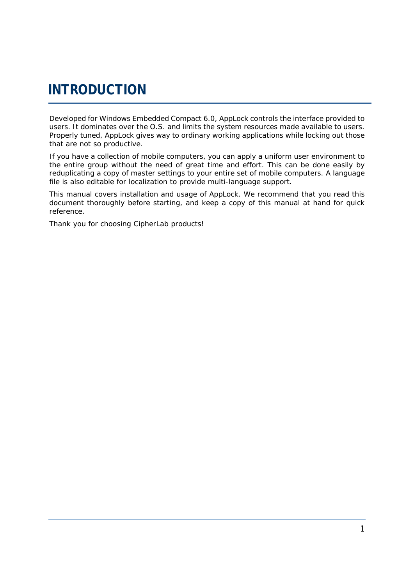## **INTRODUCTION**

Developed for Windows Embedded Compact 6.0, AppLock controls the interface provided to users. It dominates over the O.S. and limits the system resources made available to users. Properly tuned, AppLock gives way to ordinary working applications while locking out those that are not so productive.

If you have a collection of mobile computers, you can apply a uniform user environment to the entire group without the need of great time and effort. This can be done easily by reduplicating a copy of master settings to your entire set of mobile computers. A language file is also editable for localization to provide multi-language support.

This manual covers installation and usage of AppLock. We recommend that you read this document thoroughly before starting, and keep a copy of this manual at hand for quick reference.

Thank you for choosing CipherLab products!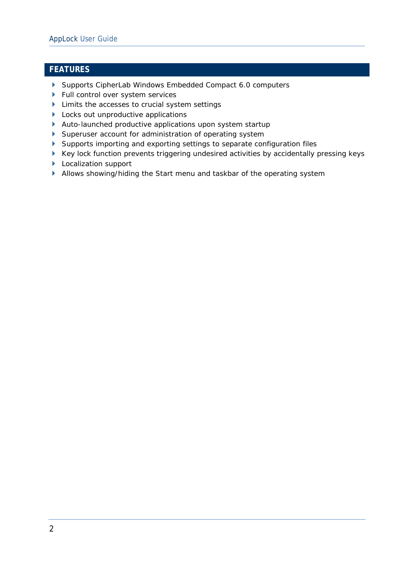### **FEATURES**

- Supports CipherLab Windows Embedded Compact 6.0 computers
- ▶ Full control over system services
- **I** Limits the accesses to crucial system settings
- ▶ Locks out unproductive applications
- Auto-launched productive applications upon system startup
- Superuser account for administration of operating system
- Supports importing and exporting settings to separate configuration files
- Key lock function prevents triggering undesired activities by accidentally pressing keys
- ▶ Localization support
- Allows showing/hiding the Start menu and taskbar of the operating system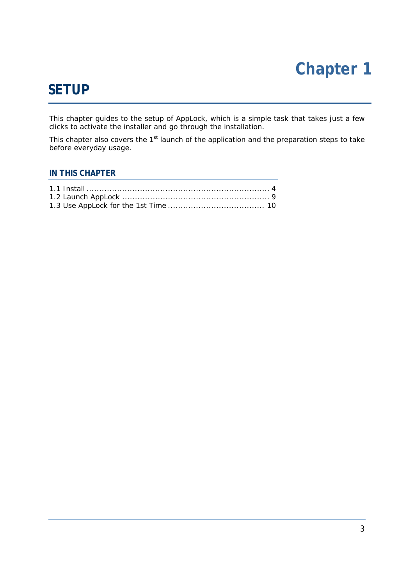# **Chapter 1**

## **SETUP**

This chapter guides to the setup of AppLock, which is a simple task that takes just a few clicks to activate the installer and go through the installation.

This chapter also covers the 1<sup>st</sup> launch of the application and the preparation steps to take before everyday usage.

#### **IN THIS CHAPTER**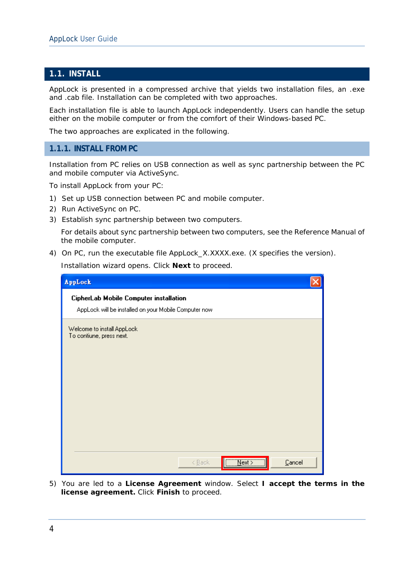## **1.1. INSTALL**

AppLock is presented in a compressed archive that yields two installation files, an .exe and .cab file. Installation can be completed with two approaches.

Each installation file is able to launch AppLock independently. Users can handle the setup either on the mobile computer or from the comfort of their Windows-based PC.

The two approaches are explicated in the following.

#### **1.1.1. INSTALL FROM PC**

Installation from PC relies on USB connection as well as sync partnership between the PC and mobile computer via ActiveSync.

To install AppLock from your PC:

- 1) Set up USB connection between PC and mobile computer.
- 2) Run ActiveSync on PC.
- 3) Establish sync partnership between two computers.

For details about sync partnership between two computers, see the Reference Manual of the mobile computer.

4) On PC, run the executable file AppLock\_X.XXXX.exe. (X specifies the version).

Installation wizard opens. Click **Next** to proceed.

| AppLock                                                                                         |        |
|-------------------------------------------------------------------------------------------------|--------|
| CipherLab Mobile Computer installation<br>AppLock will be installed on your Mobile Computer now |        |
| Welcome to install AppLock<br>To contiune, press next.                                          |        |
| Nest ><br>< <u>B</u> ack                                                                        | Cancel |

5) You are led to a **License Agreement** window. Select **I accept the terms in the license agreement.** Click **Finish** to proceed.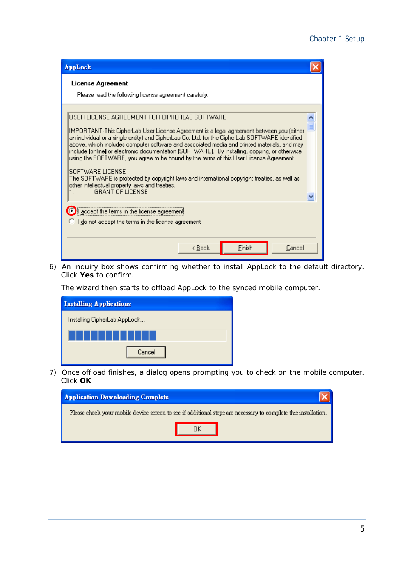| AppLock                                                                                                                                                                                                                                                                                                                                                                                                                                                                                                                                                                                                                                                                                                                                    |  |  |  |  |
|--------------------------------------------------------------------------------------------------------------------------------------------------------------------------------------------------------------------------------------------------------------------------------------------------------------------------------------------------------------------------------------------------------------------------------------------------------------------------------------------------------------------------------------------------------------------------------------------------------------------------------------------------------------------------------------------------------------------------------------------|--|--|--|--|
| License Agreement                                                                                                                                                                                                                                                                                                                                                                                                                                                                                                                                                                                                                                                                                                                          |  |  |  |  |
| Please read the following license agreement carefully.                                                                                                                                                                                                                                                                                                                                                                                                                                                                                                                                                                                                                                                                                     |  |  |  |  |
| USER LICENSE AGREEMENT FOR CIPHERLAB SOFTWARE<br>IMPORTANT-This CipherLab User License Agreement is a legal agreement between you (either<br>an individual or a single entity) and CipherLab Co. Ltd. for the CipherLab SOFTWARE identified<br>above, which includes computer software and associated media and printed materials, and may<br>include [online] or electronic documentation (SOFTWARE). By installing, copying, or otherwise<br>using the SOFTWARE, you agree to be bound by the terms of this User License Agreement.<br>SOFTWARE LICENSE<br>The SOFTWARE is protected by copyright laws and international copyright treaties, as well as<br>other intellectual property laws and treaties.<br>GRANT OF LICENSE<br>$1_{-}$ |  |  |  |  |
| decept the terms in the license agreement<br>C I do not accept the terms in the license agreement                                                                                                                                                                                                                                                                                                                                                                                                                                                                                                                                                                                                                                          |  |  |  |  |
| Finish<br>< Back<br>Cancel                                                                                                                                                                                                                                                                                                                                                                                                                                                                                                                                                                                                                                                                                                                 |  |  |  |  |

6) An inquiry box shows confirming whether to install AppLock to the default directory. Click **Yes** to confirm.

The wizard then starts to offload AppLock to the synced mobile computer.

| <b>Installing Applications</b> |  |  |  |  |
|--------------------------------|--|--|--|--|
| Installing CipherLab AppLock   |  |  |  |  |
| .                              |  |  |  |  |
| Cancel                         |  |  |  |  |

7) Once offload finishes, a dialog opens prompting you to check on the mobile computer. Click **OK**

| <b>Application Downloading Complete</b>                                                                        |  |
|----------------------------------------------------------------------------------------------------------------|--|
| Please check your mobile device screen to see if additional steps are necessary to complete this installation. |  |
|                                                                                                                |  |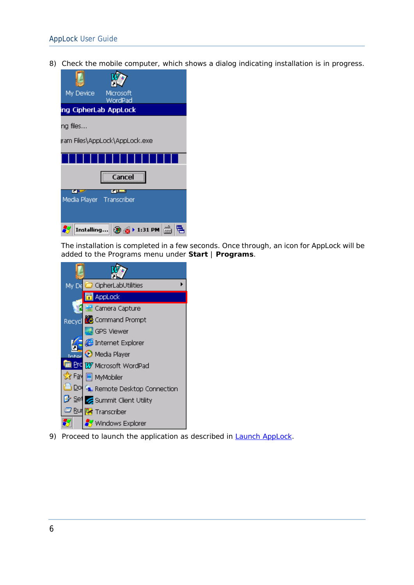8) Check the mobile computer, which shows a dialog indicating installation is in progress.



The installation is completed in a few seconds. Once through, an icon for AppLock will be added to the Programs menu under **Start** | **Programs**.



9) Proceed to launch the application as described in **Launch AppLock**.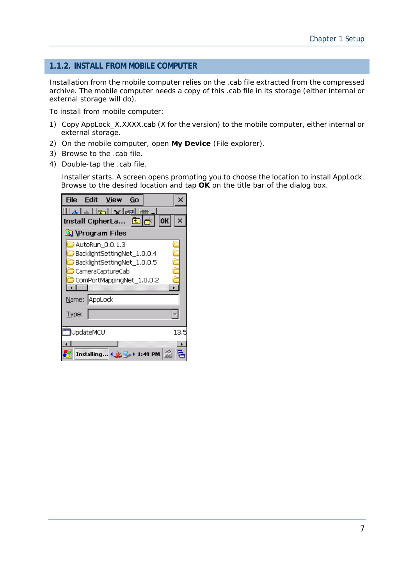#### **1.1.2. INSTALL FROM MOBILE COMPUTER**

Installation from the mobile computer relies on the .cab file extracted from the compressed archive. The mobile computer needs a copy of this .cab file in its storage (either internal or external storage will do).

To install from mobile computer:

- 1) Copy AppLock\_X.XXXX.cab (X for the version) to the mobile computer, either internal or external storage.
- 2) On the mobile computer, open **My Device** (File explorer).
- 3) Browse to the .cab file.
- 4) Double-tap the .cab file.

Installer starts. A screen opens prompting you to choose the location to install AppLock. Browse to the desired location and tap **OK** on the title bar of the dialog box.

| File<br>Edit View<br>Go                                                                                                        |      |  |  |  |
|--------------------------------------------------------------------------------------------------------------------------------|------|--|--|--|
| al I col x rel <del>or</del>                                                                                                   |      |  |  |  |
| 田齢<br>$ \mathsf{OK} $<br>Install CipherLa                                                                                      |      |  |  |  |
| Nerogram Files                                                                                                                 |      |  |  |  |
| AutoRun_0.0.1.3<br>BacklightSettingNet_1.0.0.4<br>BacklightSettingNet_1.0.0.5<br>CameraCaptureCab<br>ComPortMappingNet_1.0.0.2 |      |  |  |  |
| Name: AppLock                                                                                                                  |      |  |  |  |
| Type:                                                                                                                          |      |  |  |  |
| UpdateMCU                                                                                                                      | 13.5 |  |  |  |
|                                                                                                                                |      |  |  |  |
| Installing 134<br>1:49 PM                                                                                                      |      |  |  |  |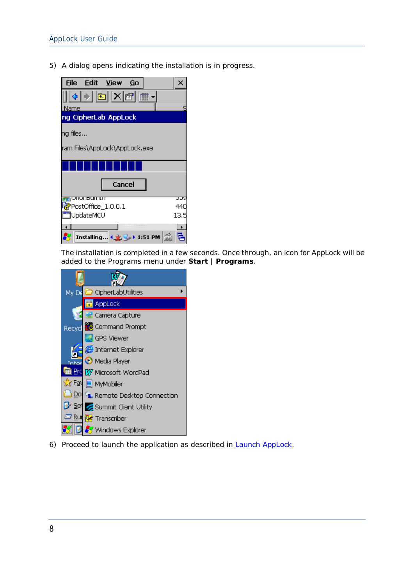5) A dialog opens indicating the installation is in progress.

| File Edit View<br>Go                                                                                                                                                                                                                                    |      |
|---------------------------------------------------------------------------------------------------------------------------------------------------------------------------------------------------------------------------------------------------------|------|
| $\begin{array}{c c c c c c} \hline \multicolumn{1}{c }{\mathbb{E}} & \multicolumn{1}{c }{\mathbb{X}} & \multicolumn{1}{c }{\mathbb{E}} & \multicolumn{1}{c }{\mathbb{I}} & \multicolumn{1}{c }{\mathbb{I}} \end{array} \end{array} \label{eq:Ex1}$<br>ା |      |
| Name                                                                                                                                                                                                                                                    |      |
| ing CipherLab AppLock                                                                                                                                                                                                                                   |      |
| ng files                                                                                                                                                                                                                                                |      |
|                                                                                                                                                                                                                                                         |      |
| ram Files\AppLock\AppLock.exe                                                                                                                                                                                                                           |      |
|                                                                                                                                                                                                                                                         |      |
|                                                                                                                                                                                                                                                         |      |
| Cancel                                                                                                                                                                                                                                                  |      |
| ाञ्जानाम<br>ਸਰਾ                                                                                                                                                                                                                                         | ᡂ    |
| ostOffice_1.0.0.1                                                                                                                                                                                                                                       | 440  |
| <b>demography</b>                                                                                                                                                                                                                                       | 13.5 |
|                                                                                                                                                                                                                                                         |      |
| Installing 4. 2 → 1:51 PM                                                                                                                                                                                                                               |      |

The installation is completed in a few seconds. Once through, an icon for AppLock will be added to the Programs menu under **Start** | **Programs**.

| $My$ De $\bigcirc$ CipherLabUtilities          |
|------------------------------------------------|
| <b>PappLock</b>                                |
| <b>E</b> Camera Capture                        |
| Recycl <b>of</b> Command Prompt                |
| <b>GPS Viewer</b>                              |
| <b>C</b> Internet Explorer                     |
| Media Player                                   |
| <b>PIG RY Microsoft WordPad</b>                |
| Fay I MyMobiler                                |
| Dol <sup>(2</sup> 1) Remote Desktop Connection |
| Set Summit Client Utility                      |
| <b>Bull De</b> Transcriber                     |
| Windows Explorer                               |

6) Proceed to launch the application as described in Launch AppLock.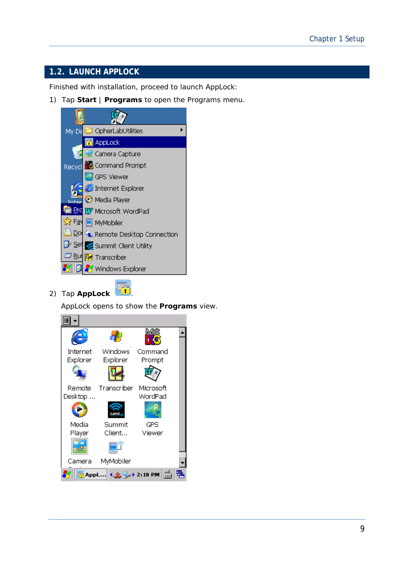## **1.2. LAUNCH APPLOCK**

Finished with installation, proceed to launch AppLock:

1) Tap **Start** | **Programs** to open the Programs menu.





AppLock opens to show the **Programs** view.

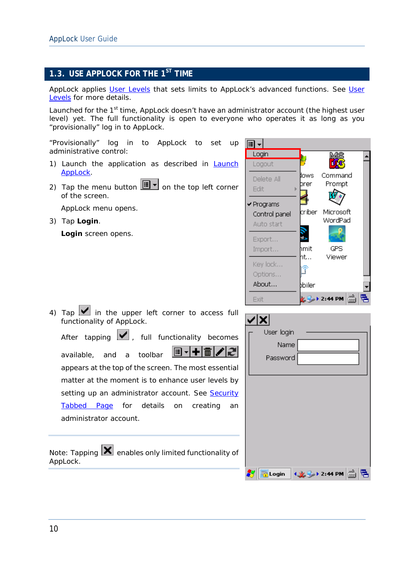## **1.3. USE APPLOCK FOR THE 1ST TIME**

AppLock applies User Levels that sets limits to AppLock's advanced functions. See User Levels for more details.

Launched for the 1<sup>st</sup> time, AppLock doesn't have an administrator account (the highest user level) yet. The full functionality is open to everyone who operates it as long as you "provisionally" log in to AppLock.

"Provisionally" log in to AppLock to set up administrative control:

- 1) Launch the application as described in Launch AppLock.
- 2) Tap the menu button  $\boxed{=}$  on the top left corner of the screen.

AppLock menu opens.

3) Tap **Login**.

**Login** screen opens.

| Login                | IMIS<br>L KI                                             |
|----------------------|----------------------------------------------------------|
| Logout<br>Delete All | ⊯ows<br>Command                                          |
| Edit<br>Þ            | Prompt<br>brer                                           |
| <b>✔</b> Programs    |                                                          |
| Control panel        | triber<br>Microsoft<br>WordPad                           |
| Auto start<br>Export |                                                          |
| Import               | hmit<br>GPS<br>Viewer<br>าt.                             |
| Key lock             |                                                          |
| Options              |                                                          |
| About                | bbiler                                                   |
| Exit                 | ا <del>ئن</del> ش∥<br>$\blacktriangleright$ 2:44 PM<br>阜 |
|                      |                                                          |

4) Tap  $\blacksquare$  in the upper left corner to access full functionality of AppLock.

After tapping  $\blacktriangleright$ , full functionality becomes |圓~|+|面|ノ|∂| available, and a toolbar appears at the top of the screen. The most essential matter at the moment is to enhance user levels by setting up an administrator account. See Security Tabbed Page for details on creating an administrator account.

Note: Tapping  $\boxed{\mathsf{X}}$  enables only limited functionality of AppLock.

| $\overline{\textsf{x}}$ |                       |  |            |  |
|-------------------------|-----------------------|--|------------|--|
| User login              |                       |  |            |  |
| Name                    |                       |  |            |  |
| Password                |                       |  |            |  |
|                         |                       |  |            |  |
|                         |                       |  |            |  |
|                         |                       |  |            |  |
|                         |                       |  |            |  |
|                         |                       |  |            |  |
|                         |                       |  |            |  |
|                         |                       |  |            |  |
|                         |                       |  |            |  |
| <b>Login</b>            | $\rightarrow$ 2:44 PM |  | خم<br>نفشا |  |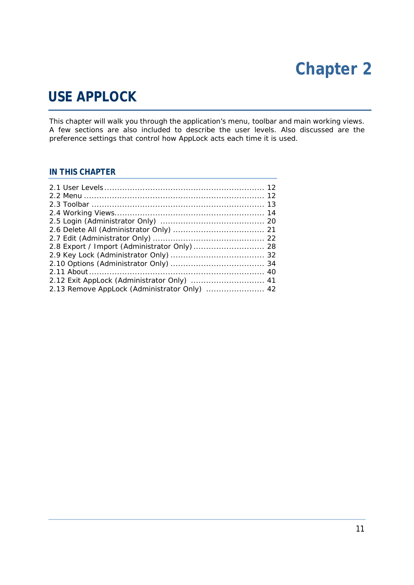# **Chapter 2**

# **USE APPLOCK**

This chapter will walk you through the application's menu, toolbar and main working views. A few sections are also included to describe the user levels. Also discussed are the preference settings that control how AppLock acts each time it is used.

#### **IN THIS CHAPTER**

| 2.12 Exit AppLock (Administrator Only)  41   |  |
|----------------------------------------------|--|
| 2.13 Remove AppLock (Administrator Only)  42 |  |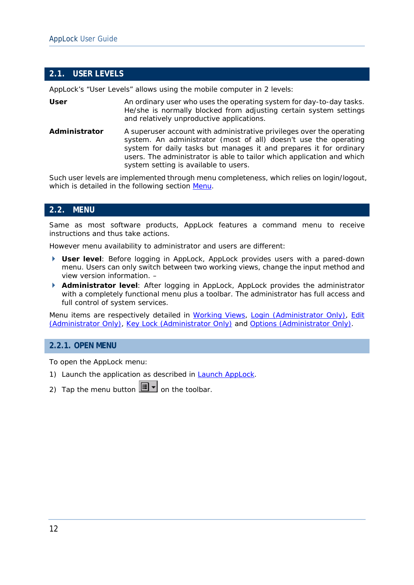## **2.1. USER LEVELS**

AppLock's "User Levels" allows using the mobile computer in 2 levels:

**User** An ordinary user who uses the operating system for day-to-day tasks. He/she is normally blocked from adjusting certain system settings and relatively unproductive applications.

Administrator A superuser account with administrative privileges over the operating system. An administrator (most of all) doesn't use the operating system for daily tasks but manages it and prepares it for ordinary users. The administrator is able to tailor which application and which system setting is available to users.

Such user levels are implemented through menu completeness, which relies on login/logout, which is detailed in the following section Menu.

#### **2.2. MENU**

Same as most software products, AppLock features a command menu to receive instructions and thus take actions.

However menu availability to administrator and users are different:

- **User level**: Before logging in AppLock, AppLock provides users with a pared-down menu. Users can only switch between two working views, change the input method and view version information. –
- **Administrator level**: After logging in AppLock, AppLock provides the administrator with a completely functional menu plus a toolbar. The administrator has full access and full control of system services.

Menu items are respectively detailed in Working Views, Login (Administrator Only), Edit (Administrator Only), Key Lock (Administrator Only) and Options (Administrator Only).

#### **2.2.1. OPEN MENU**

To open the AppLock menu:

- 1) Launch the application as described in **Launch AppLock**.
- 2) Tap the menu button  $\boxed{1}$   $\boxed{1}$  on the toolbar.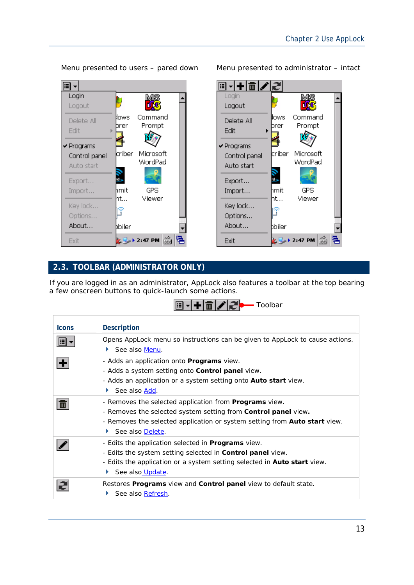圓▼ Login MS<br>LOS Logout ⊯ows Command Delete All Prompt brer Edit  $\widehat{W_{ij}}$ **v** Programs criber Microsoft Control panel WordPad Auto start ď, Export... hmit GPS Import... ht. . . Viewer Key lock... í Options... About... bbiler KG ▶ 2:47 PM લ Exit



## **2.3. TOOLBAR (ADMINISTRATOR ONLY)**

If you are logged in as an administrator, AppLock also features a toolbar at the top bearing a few onscreen buttons to quick-launch some actions.

|              | _______                                                                                                                                                                                                                                  |
|--------------|------------------------------------------------------------------------------------------------------------------------------------------------------------------------------------------------------------------------------------------|
| <b>Icons</b> | <b>Description</b>                                                                                                                                                                                                                       |
| 固            | Opens AppLock menu so instructions can be given to AppLock to cause actions.<br>See also Menu.                                                                                                                                           |
| Ŧ            | - Adds an application onto <b>Programs</b> view.<br>- Adds a system setting onto <b>Control panel</b> view.<br>- Adds an application or a system setting onto Auto start view.<br>See also Add.                                          |
| 霝            | - Removes the selected application from <b>Programs</b> view.<br>- Removes the selected system setting from Control panel view.<br>- Removes the selected application or system setting from <b>Auto start</b> view.<br>See also Delete. |
|              | - Edits the application selected in <b>Programs</b> view.<br>- Edits the system setting selected in <b>Control panel</b> view.<br>- Edits the application or a system setting selected in Auto start view.<br>See also Update.           |
|              | Restores Programs view and Control panel view to default state.<br>See also Refresh.                                                                                                                                                     |

 $\overline{19}$  -  $\pm$   $\overline{10}$  / 2  $\bullet$ - Toolbar

Menu presented to users – pared down Menu presented to administrator – intact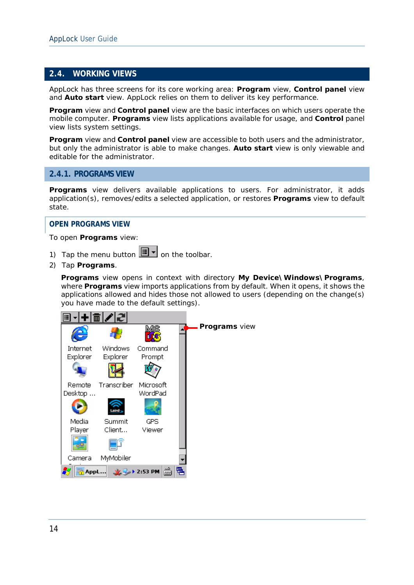## **2.4. WORKING VIEWS**

AppLock has three screens for its core working area: **Program** view, **Control panel** view and **Auto start** view. AppLock relies on them to deliver its key performance.

**Program** view and **Control panel** view are the basic interfaces on which users operate the mobile computer. **Programs** view lists applications available for usage, and **Control** panel view lists system settings.

**Program** view and **Control panel** view are accessible to both users and the administrator, but only the administrator is able to make changes. **Auto start** view is only viewable and editable for the administrator.

#### **2.4.1. PROGRAMS VIEW**

**Programs** view delivers available applications to users. For administrator, it adds application(s), removes/edits a selected application, or restores **Programs** view to default state.

#### **OPEN PROGRAMS VIEW**

To open **Programs** view:

- 1) Tap the menu button  $\boxed{1}$  v on the toolbar.
- 2) Tap **Programs**.

**Programs** view opens in context with directory **My Device\Windows\Programs**, where **Programs** view imports applications from by default. When it opens, it shows the applications allowed and hides those not allowed to users (depending on the change(s) you have made to the default settings).

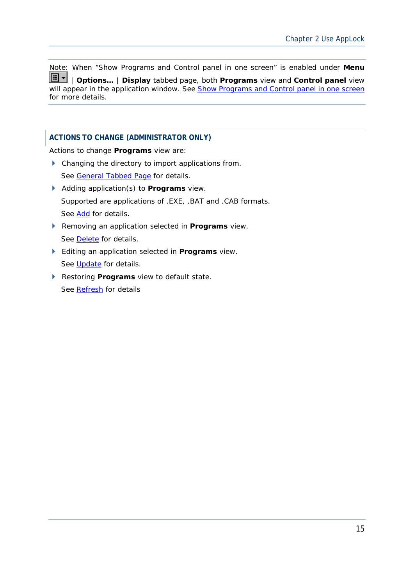Note: When "Show Programs and Control panel in one screen" is enabled under **Menu**

 | **Options…** | **Display** tabbed page, both **Programs** view and **Control panel** view will appear in the application window. See **Show Programs and Control panel in one screen** for more details.

#### **ACTIONS TO CHANGE (ADMINISTRATOR ONLY)**

Actions to change **Programs** view are:

- Changing the directory to import applications from. See **General Tabbed Page** for details.
- Adding application(s) to **Programs** view. Supported are applications of .EXE, .BAT and .CAB formats. See Add for details.
- Removing an application selected in **Programs** view. See **Delete** for details.
- Editing an application selected in **Programs** view. See Update for details.
- Restoring **Programs** view to default state. See Refresh for details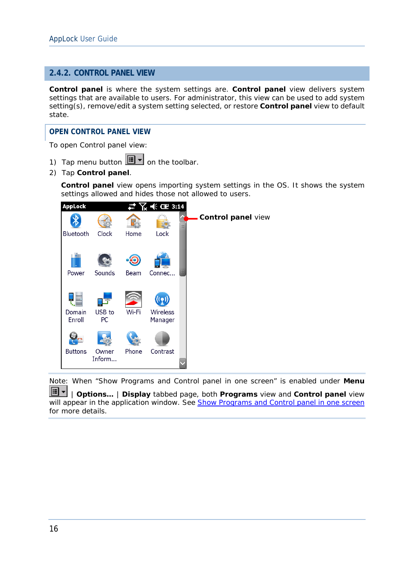## **2.4.2. CONTROL PANEL VIEW**

**Control panel** is where the system settings are. **Control panel** view delivers system settings that are available to users. For administrator, this view can be used to add system setting(s), remove/edit a system setting selected, or restore **Control panel** view to default state.

**OPEN CONTROL PANEL VIEW** 

To open Control panel view:

- 1) Tap menu button  $\boxed{1}$   $\bullet$  on the toolbar.
- 2) Tap **Control panel**.

**Control panel** view opens importing system settings in the OS. It shows the system settings allowed and hides those not allowed to users.



Note: When "Show Programs and Control panel in one screen" is enabled under **Menu** ▐§▎邪

 | **Options…** | **Display** tabbed page, both **Programs** view and **Control panel** view will appear in the application window. See Show Programs and Control panel in one screen for more details.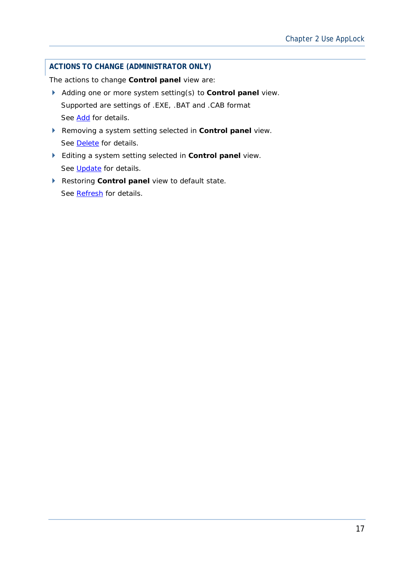#### **ACTIONS TO CHANGE (ADMINISTRATOR ONLY)**

The actions to change **Control panel** view are:

- Adding one or more system setting(s) to **Control panel** view. Supported are settings of .EXE, .BAT and .CAB format See Add for details.
- Removing a system setting selected in **Control panel** view. See **Delete** for details.
- Editing a system setting selected in **Control panel** view. See Update for details.
- Restoring **Control panel** view to default state. See Refresh for details.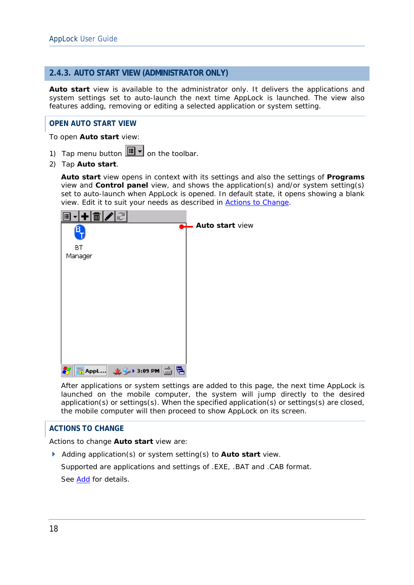#### **2.4.3. AUTO START VIEW (ADMINISTRATOR ONLY)**

**Auto start** view is available to the administrator only. It delivers the applications and system settings set to auto-launch the next time AppLock is launched. The view also features adding, removing or editing a selected application or system setting.

#### **OPEN AUTO START VIEW**

To open **Auto start** view:

- 1) Tap menu button  $\boxed{1}$   $\bullet$  on the toolbar.
- 2) Tap **Auto start**.

**Auto start** view opens in context with its settings and also the settings of **Programs** view and **Control panel** view, and shows the application(s) and/or system setting(s) set to auto-launch when AppLock is opened. In default state, it opens showing a blank view. Edit it to suit your needs as described in Actions to Change.



After applications or system settings are added to this page, the next time AppLock is launched on the mobile computer, the system will jump directly to the desired application(s) or settings(s). When the specified application(s) or settings(s) are closed, the mobile computer will then proceed to show AppLock on its screen.

#### **ACTIONS TO CHANGE**

Actions to change **Auto start** view are:

Adding application(s) or system setting(s) to **Auto start** view.

Supported are applications and settings of .EXE, .BAT and .CAB format.

See Add for details.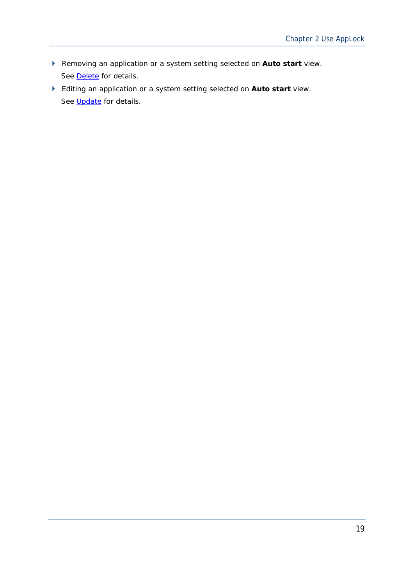- Removing an application or a system setting selected on **Auto start** view. See **Delete** for details.
- Editing an application or a system setting selected on **Auto start** view. See **Update** for details.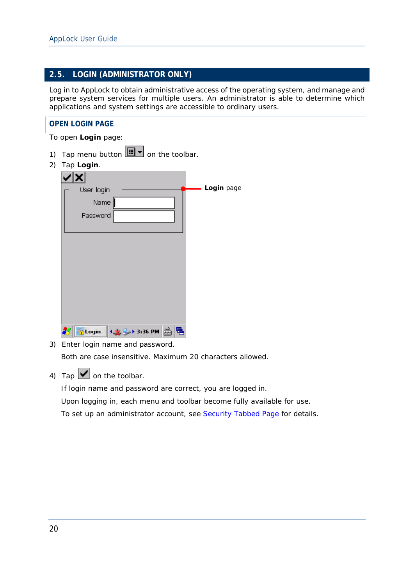## **2.5. LOGIN (ADMINISTRATOR ONLY)**

Log in to AppLock to obtain administrative access of the operating system, and manage and prepare system services for multiple users. An administrator is able to determine which applications and system settings are accessible to ordinary users.

#### **OPEN LOGIN PAGE**

To open **Login** page:

- 1) Tap menu button  $\boxed{\blacksquare}$   $\blacktriangleright$  on the toolbar.
- 2) Tap **Login**.

| -- J -- - ·  |           |   |            |
|--------------|-----------|---|------------|
|              |           |   |            |
| User login   |           |   | Login page |
| Name         |           |   |            |
| Password     |           |   |            |
|              |           |   |            |
|              |           |   |            |
|              |           |   |            |
|              |           |   |            |
|              |           |   |            |
|              |           |   |            |
|              |           |   |            |
|              |           |   |            |
|              |           |   |            |
| <b>Login</b> | 1 3:36 PM | 睡 |            |

- 3) Enter login name and password. Both are case insensitive. Maximum 20 characters allowed.
- 4) Tap  $\blacktriangleright$  on the toolbar.

If login name and password are correct, you are logged in. Upon logging in, each menu and toolbar become fully available for use. To set up an administrator account, see Security Tabbed Page for details.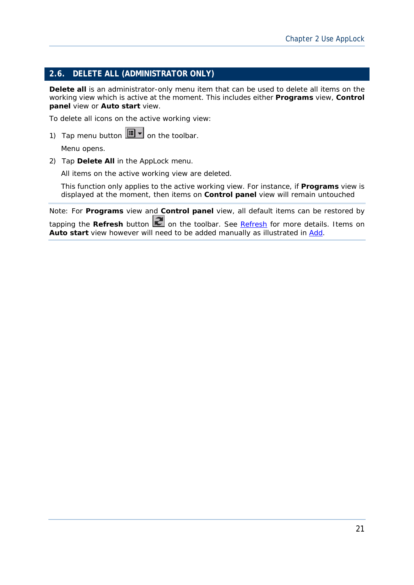## **2.6. DELETE ALL (ADMINISTRATOR ONLY)**

**Delete all** is an administrator-only menu item that can be used to delete all items on the working view which is active at the moment. This includes either **Programs** view, **Control panel** view or **Auto start** view.

To delete all icons on the active working view:

1) Tap menu button  $\boxed{\blacksquare \blacktriangledown}$  on the toolbar.

Menu opens.

2) Tap **Delete All** in the AppLock menu.

All items on the active working view are deleted.

This function only applies to the active working view. For instance, if **Programs** view is displayed at the moment, then items on **Control panel** view will remain untouched

Note: For **Programs** view and **Control panel** view, all default items can be restored by tapping the Refresh button **c** on the toolbar. See Refresh for more details. Items on Auto start view however will need to be added manually as illustrated in Add.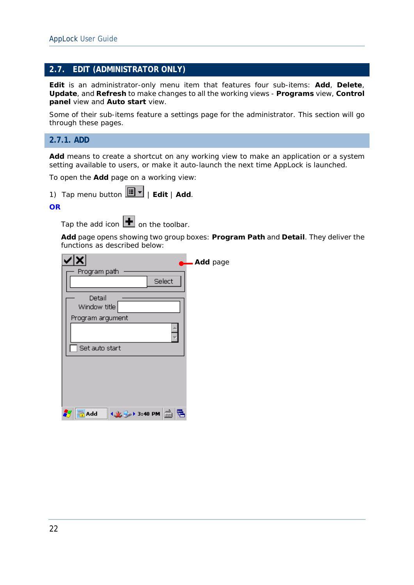### **2.7. EDIT (ADMINISTRATOR ONLY)**

**Edit** is an administrator-only menu item that features four sub-items: **Add**, **Delete**, **Update**, and **Refresh** to make changes to all the working views - **Programs** view, **Control panel** view and **Auto start** view.

Some of their sub-items feature a settings page for the administrator. This section will go through these pages.

#### **2.7.1. ADD**

**Add** means to create a shortcut on any working view to make an application or a system setting available to users, or make it auto-launch the next time AppLock is launched.

To open the **Add** page on a working view:

1) Tap menu button  $\boxed{\mathbb{E} \cdot \mathbb{I}}$  **Edit | Add.** 

#### **OR**

Tap the add icon  $\left| \bullet \right|$  on the toolbar.

**Add** page opens showing two group boxes: **Program Path** and **Detail**. They deliver the functions as described below:

|                                            | Add page |
|--------------------------------------------|----------|
| Program path                               |          |
| Select                                     |          |
| Detail<br>Window title                     |          |
| Program argument                           |          |
|                                            |          |
| Set auto start                             |          |
|                                            |          |
| <b>IS De De 3:40 PM</b><br><b>Add</b><br>둼 |          |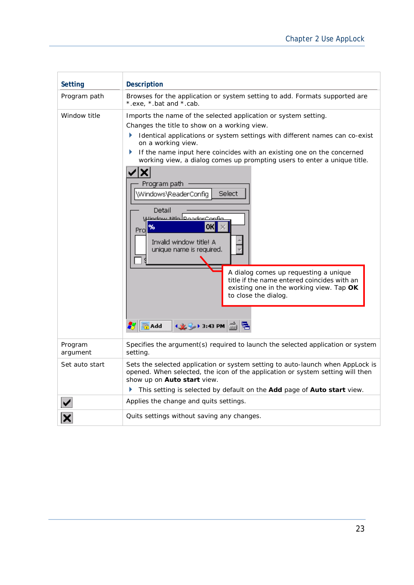| Setting             | <b>Description</b>                                                                                                                                                                                                                                                                                                                                                                                                                                                                                                                                                                                                                                 |  |
|---------------------|----------------------------------------------------------------------------------------------------------------------------------------------------------------------------------------------------------------------------------------------------------------------------------------------------------------------------------------------------------------------------------------------------------------------------------------------------------------------------------------------------------------------------------------------------------------------------------------------------------------------------------------------------|--|
| Program path        | Browses for the application or system setting to add. Formats supported are<br>*.exe. $*$ .bat and $*$ .cab.                                                                                                                                                                                                                                                                                                                                                                                                                                                                                                                                       |  |
| Window title        | Imports the name of the selected application or system setting.<br>Changes the title to show on a working view.<br>Identical applications or system settings with different names can co-exist<br>on a working view.<br>If the name input here coincides with an existing one on the concerned<br>working view, a dialog comes up prompting users to enter a unique title.<br>М<br>Program path<br>Select<br>\Windows\ReaderConfiq<br>Detail<br><u>Window titlo DondorConfia</u><br>%<br>OKI<br>Pro<br>Invalid window title! A<br>unique name is required.<br>A dialog comes up requesting a unique<br>title if the name entered coincides with an |  |
|                     | existing one in the working view. Tap OK<br>to close the dialog.<br><b>Add</b><br>4 2 3:43 PM                                                                                                                                                                                                                                                                                                                                                                                                                                                                                                                                                      |  |
| Program<br>argument | Specifies the argument(s) required to launch the selected application or system<br>setting.                                                                                                                                                                                                                                                                                                                                                                                                                                                                                                                                                        |  |
| Set auto start      | Sets the selected application or system setting to auto-launch when AppLock is<br>opened. When selected, the icon of the application or system setting will then<br>show up on Auto start view.<br>This setting is selected by default on the Add page of Auto start view.                                                                                                                                                                                                                                                                                                                                                                         |  |
|                     | Applies the change and quits settings.                                                                                                                                                                                                                                                                                                                                                                                                                                                                                                                                                                                                             |  |
|                     | Quits settings without saving any changes.                                                                                                                                                                                                                                                                                                                                                                                                                                                                                                                                                                                                         |  |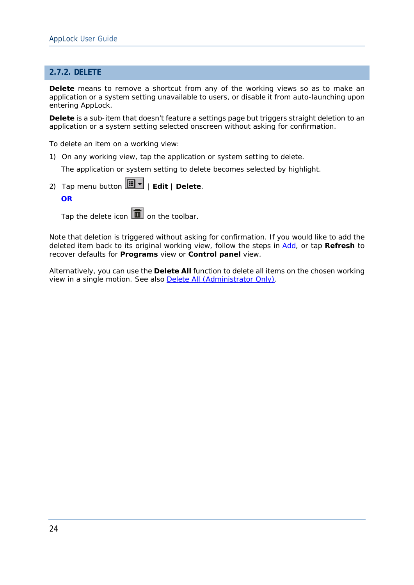## **2.7.2. DELETE**

**Delete** means to remove a shortcut from any of the working views so as to make an application or a system setting unavailable to users, or disable it from auto-launching upon entering AppLock.

**Delete** is a sub-item that doesn't feature a settings page but triggers straight deletion to an application or a system setting selected onscreen without asking for confirmation.

To delete an item on a working view:

1) On any working view, tap the application or system setting to delete.

The application or system setting to delete becomes selected by highlight.

- 2) Tap menu button **I**  $\bullet$  | **Edit** | Delete.
	- **OR**

Tap the delete icon  $\boxed{1}$  on the toolbar.

Note that deletion is triggered without asking for confirmation. If you would like to add the deleted item back to its original working view, follow the steps in Add, or tap **Refresh** to recover defaults for **Programs** view or **Control panel** view.

Alternatively, you can use the **Delete All** function to delete all items on the chosen working view in a single motion. See also **Delete All (Administrator Only)**.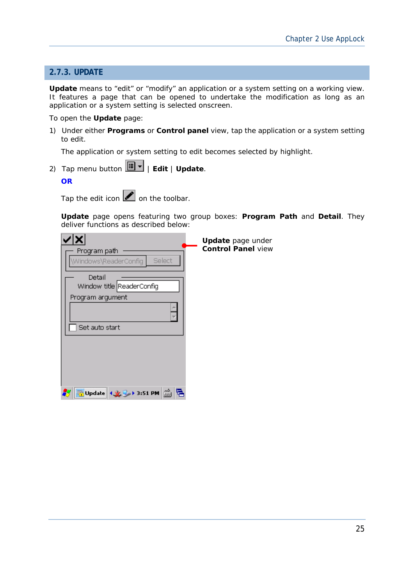## **2.7.3. UPDATE**

**Update** means to "edit" or "modify" an application or a system setting on a working view. It features a page that can be opened to undertake the modification as long as an application or a system setting is selected onscreen.

To open the **Update** page:

1) Under either **Programs** or **Control panel** view, tap the application or a system setting to edit.

The application or system setting to edit becomes selected by highlight.

2) Tap menu button | **Edit** | **Update**.

**OR** 

Tap the edit icon  $\blacksquare$  on the toolbar.

**Update** page opens featuring two group boxes: **Program Path** and **Detail**. They deliver functions as described below:

| Program path<br>Select<br>Windows\ReaderConfiq | <b>Update</b> page under<br><b>Control Panel view</b> |
|------------------------------------------------|-------------------------------------------------------|
| Detail<br>Window title ReaderConfig            |                                                       |
| Program argument<br>Set auto start             |                                                       |
|                                                |                                                       |
| Update 4 2 >> 3:51 PM<br>림                     |                                                       |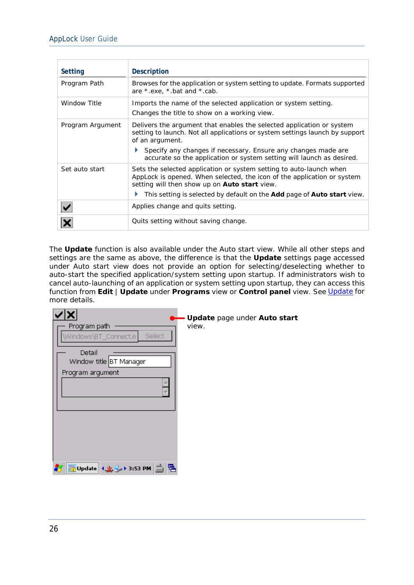| Setting          | <b>Description</b>                                                                                                                                                                                     |
|------------------|--------------------------------------------------------------------------------------------------------------------------------------------------------------------------------------------------------|
| Program Path     | Browses for the application or system setting to update. Formats supported<br>are *.exe, *.bat and *.cab.                                                                                              |
| Window Title     | Imports the name of the selected application or system setting.<br>Changes the title to show on a working view.                                                                                        |
| Program Argument | Delivers the argument that enables the selected application or system<br>setting to launch. Not all applications or system settings launch by support<br>of an argument.                               |
|                  | Specify any changes if necessary. Ensure any changes made are<br>accurate so the application or system setting will launch as desired.                                                                 |
| Set auto start   | Sets the selected application or system setting to auto-launch when<br>AppLock is opened. When selected, the icon of the application or system<br>setting will then show up on <b>Auto start</b> view. |
|                  | This setting is selected by default on the Add page of Auto start view.                                                                                                                                |
|                  | Applies change and quits setting.                                                                                                                                                                      |
|                  | Quits setting without saving change.                                                                                                                                                                   |

The **Update** function is also available under the Auto start view. While all other steps and settings are the same as above, the difference is that the **Update** settings page accessed under Auto start view does not provide an option for selecting/deselecting whether to auto-start the specified application/system setting upon startup. If administrators wish to cancel auto-launching of an application or system setting upon startup, they can access this function from **Edit** | **Update** under **Programs** view or **Control panel** view. See Update for more details.

| Program path<br>Select<br>\Windows\BT_Connect.e<br>Detail<br>Window title BT Manager<br>Program argument | Update page under Auto start<br>view. |
|----------------------------------------------------------------------------------------------------------|---------------------------------------|
| Dipdate 4 & B > 3:53 PM<br>F.                                                                            |                                       |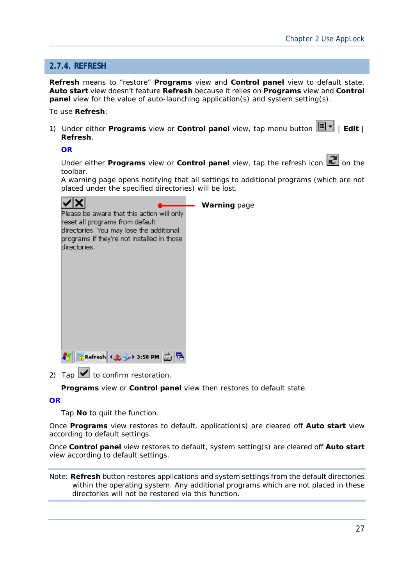#### **2.7.4. REFRESH**

**Refresh** means to "restore" **Programs** view and **Control panel** view to default state. **Auto start** view doesn't feature **Refresh** because it relies on **Programs** view and **Control panel** view for the value of auto-launching application(s) and system setting(s).

To use **Refresh**:

1) Under either **Programs** view or **Control panel** view, tap menu button  $\boxed{E}$  | **Edit** | **Refresh**.

**OR** 

Under either **Programs** view or **Control panel** view, tap the refresh icon  $\mathbb{Z}$  on the toolbar.

A warning page opens notifying that all settings to additional programs (which are not placed under the specified directories) will be lost.

**Warning** page



2) Tap  $\vee$  to confirm restoration.

**Programs** view or **Control panel** view then restores to default state.

#### **OR**

Tap **No** to quit the function.

Once **Programs** view restores to default, application(s) are cleared off **Auto start** view according to default settings.

Once **Control panel** view restores to default, system setting(s) are cleared off **Auto start** view according to default settings.

Note: **Refresh** button restores applications and system settings from the default directories within the operating system. Any additional programs which are not placed in these directories will not be restored via this function.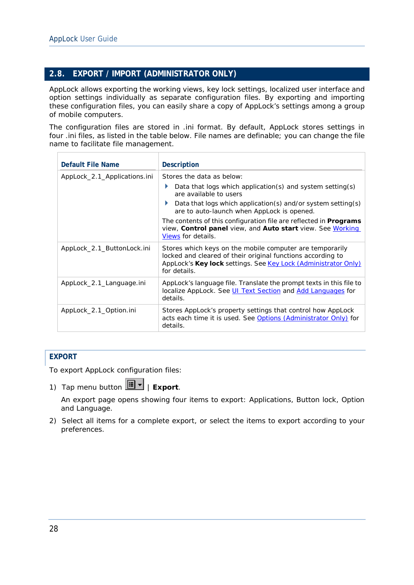## **2.8. EXPORT / IMPORT (ADMINISTRATOR ONLY)**

AppLock allows exporting the working views, key lock settings, localized user interface and option settings individually as separate configuration files. By exporting and importing these configuration files, you can easily share a copy of AppLock's settings among a group of mobile computers.

The configuration files are stored in .ini format. By default, AppLock stores settings in four .ini files, as listed in the table below. File names are definable; you can change the file name to facilitate file management.

| Default File Name            | <b>Description</b>                                                                                                                                                                                        |
|------------------------------|-----------------------------------------------------------------------------------------------------------------------------------------------------------------------------------------------------------|
| AppLock_2.1_Applications.ini | Stores the data as below:                                                                                                                                                                                 |
|                              | Data that logs which application(s) and system setting(s)<br>Þ<br>are available to users                                                                                                                  |
|                              | Data that logs which application(s) and/or system setting(s)<br>Þ<br>are to auto-launch when AppLock is opened.                                                                                           |
|                              | The contents of this configuration file are reflected in Programs<br>view, Control panel view, and Auto start view. See Working<br>Views for details.                                                     |
| AppLock_2.1_ButtonLock.ini   | Stores which keys on the mobile computer are temporarily<br>locked and cleared of their original functions according to<br>AppLock's Key lock settings. See Key Lock (Administrator Only)<br>for details. |
| AppLock_2.1_Language.ini     | AppLock's language file. Translate the prompt texts in this file to<br>localize AppLock. See UI Text Section and Add Languages for<br>details.                                                            |
| AppLock_2.1_Option.ini       | Stores AppLock's property settings that control how AppLock<br>acts each time it is used. See Options (Administrator Only) for<br>details.                                                                |

#### **EXPORT**

To export AppLock configuration files:

1) Tap menu button | **Export**.

An export page opens showing four items to export: Applications, Button lock, Option and Language.

2) Select all items for a complete export, or select the items to export according to your preferences.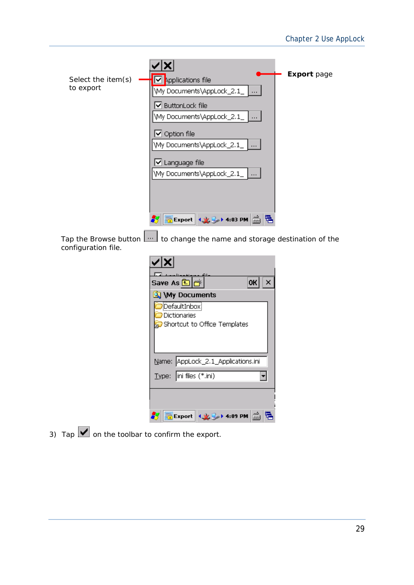

Tap the Browse button  $\lfloor \frac{m}{2} \rfloor$  to change the name and storage destination of the configuration file.

| ∨∣x∣                                                                |           |  |
|---------------------------------------------------------------------|-----------|--|
|                                                                     |           |  |
| Save As 色lo <sup>*</sup>                                            | <b>OK</b> |  |
| <b>Q</b> \My Documents                                              |           |  |
| DefaultInbox<br><b>Dictionaries</b><br>Shortcut to Office Templates |           |  |
| Name: AppLock_2.1_Applications.ini                                  |           |  |
| Ini files (*.ini)<br>Type:                                          |           |  |
|                                                                     |           |  |
| Export 4 L → 4:09 PM                                                |           |  |

3) Tap  $\blacksquare$  on the toolbar to confirm the export.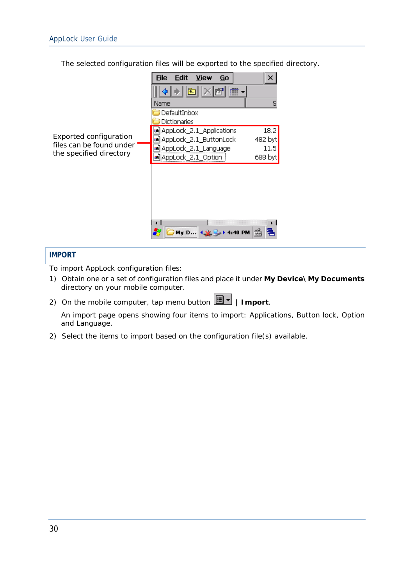|                          | <b>File</b><br><b>Edit</b><br>View<br>Go |         |
|--------------------------|------------------------------------------|---------|
|                          | 面<br>m                                   |         |
|                          | Name                                     | S       |
|                          | DefaultInbox                             |         |
|                          | Dictionaries                             |         |
|                          | a AppLock_2.1_Applications               | 18.2    |
| Exported configuration   | a AppLock_2.1_ButtonLock                 | 482 byt |
| files can be found under | an] AppLock_2.1_Language                 | 11.5    |
| the specified directory  | a AppLock_2.1_Option                     | 688 byt |
|                          | <b>My D</b><br>40 PM                     |         |

The selected configuration files will be exported to the specified directory.

#### **IMPORT**

To import AppLock configuration files:

- 1) Obtain one or a set of configuration files and place it under **My Device\My Documents** directory on your mobile computer.
- 2) On the mobile computer, tap menu button  $\boxed{\blacksquare\blacktriangledown}$  | Import.

An import page opens showing four items to import: Applications, Button lock, Option and Language.

2) Select the items to import based on the configuration file(s) available.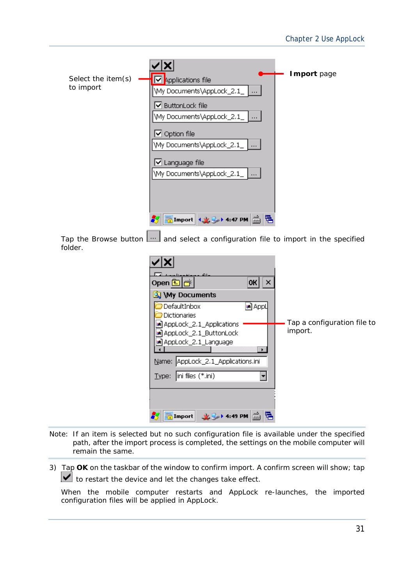

Tap the Browse button  $\Box$  and select a configuration file to import in the specified folder.

| ×<br>Open <b>E</b><br>OK<br>بجحم                                                                                                                                                                                          |                                        |
|---------------------------------------------------------------------------------------------------------------------------------------------------------------------------------------------------------------------------|----------------------------------------|
| <b>Q</b> \My Documents<br>DefaultInbox<br>s Appl<br>Dictionaries<br>a AppLock_2.1_Applications<br>an AppLock_2.1_ButtonLock<br>a AppLock_2.1_Language<br>Name: AppLock_2.1_Applications.ini<br>Ini files (*.ini)<br>Type: | Tap a configuration file to<br>import. |
| - Import<br>$\blacktriangleright$ 4:49 PM                                                                                                                                                                                 |                                        |

- Note: If an item is selected but no such configuration file is available under the specified path, after the import process is completed, the settings on the mobile computer will remain the same.
- 3) Tap **OK** on the taskbar of the window to confirm import. A confirm screen will show; tap to restart the device and let the changes take effect.

When the mobile computer restarts and AppLock re-launches, the imported configuration files will be applied in AppLock.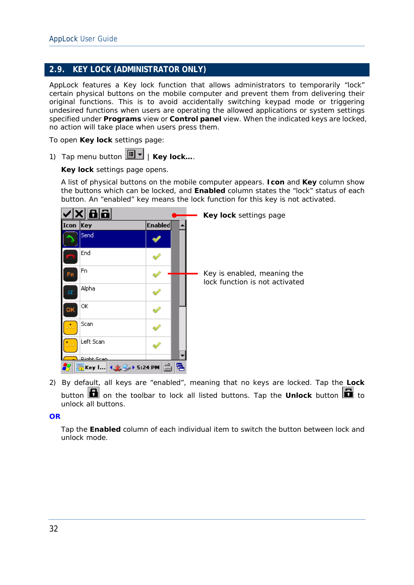## **2.9. KEY LOCK (ADMINISTRATOR ONLY)**

AppLock features a Key lock function that allows administrators to temporarily "lock" certain physical buttons on the mobile computer and prevent them from delivering their original functions. This is to avoid accidentally switching keypad mode or triggering undesired functions when users are operating the allowed applications or system settings specified under **Programs** view or **Control panel** view. When the indicated keys are locked, no action will take place when users press them.

To open **Key lock** settings page:

1) Tap menu button  $\boxed{\mathbb{E} \cdot \mathbb{I}}$  | Key lock....

**Key lock** settings page opens.

A list of physical buttons on the mobile computer appears. **Icon** and **Key** column show the buttons which can be locked, and **Enabled** column states the "lock" status of each button. An "enabled" key means the lock function for this key is not activated.

|          | 2                 |                         |   | Key lock settings page                                        |
|----------|-------------------|-------------------------|---|---------------------------------------------------------------|
| Icon Key |                   | <b>Enabled</b>          |   |                                                               |
|          | Send              |                         |   |                                                               |
|          | End               |                         |   |                                                               |
|          | Fn                |                         |   | Key is enabled, meaning the<br>lock function is not activated |
|          | Alpha             |                         |   |                                                               |
|          | ОК                |                         |   |                                                               |
|          | Scan              |                         |   |                                                               |
|          | Left Scan         |                         |   |                                                               |
|          | <b>Dight Scan</b> |                         |   |                                                               |
|          | Key I             | خم<br>نثلثاً<br>5:24 PM | 른 |                                                               |

2) By default, all keys are "enabled", meaning that no keys are locked. Tap the **Lock**  button **on** on the toolbar to lock all listed buttons. Tap the **Unlock** button **to** to unlock all buttons.

**OR** 

Tap the **Enabled** column of each individual item to switch the button between lock and unlock mode.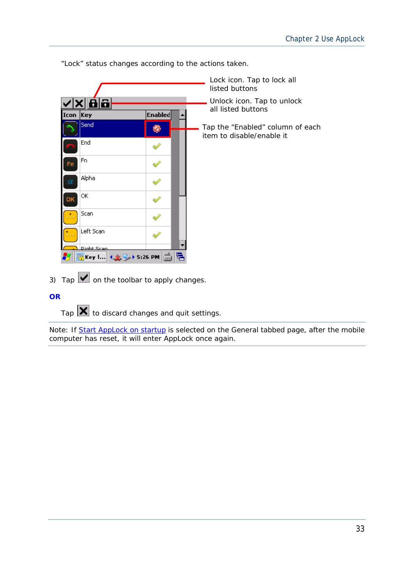

"Lock" status changes according to the actions taken.

3) Tap  $\blacktriangleright$  on the toolbar to apply changes.

#### **OR**

Tap  $\boxed{\smash{\times}}$  to discard changes and quit settings.

Note: If **Start AppLock on startup** is selected on the General tabbed page, after the mobile computer has reset, it will enter AppLock once again.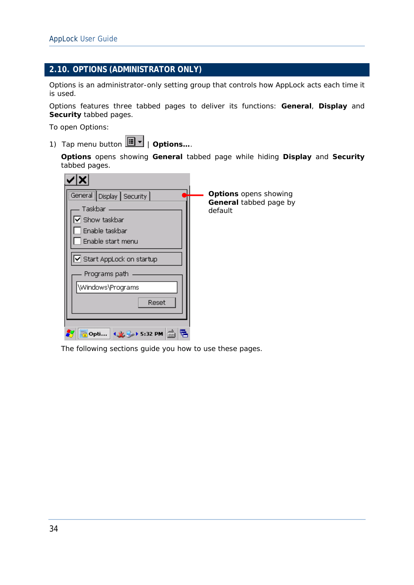### **2.10. OPTIONS (ADMINISTRATOR ONLY)**

Options is an administrator-only setting group that controls how AppLock acts each time it is used.

Options features three tabbed pages to deliver its functions: **General**, **Display** and **Security** tabbed pages.

To open Options:

1) Tap menu button **id T** | Options....

**Options** opens showing **General** tabbed page while hiding **Display** and **Security** tabbed pages.



The following sections guide you how to use these pages.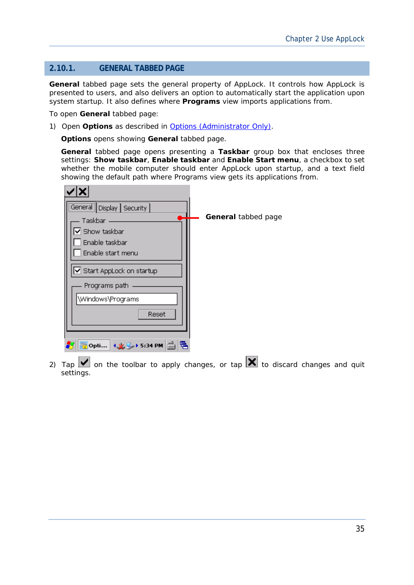## **2.10.1. GENERAL TABBED PAGE**

**General** tabbed page sets the general property of AppLock. It controls how AppLock is presented to users, and also delivers an option to automatically start the application upon system startup. It also defines where **Programs** view imports applications from.

To open **General** tabbed page:

1) Open **Options** as described in Options (Administrator Only).

**Options** opens showing **General** tabbed page.

**General** tabbed page opens presenting a **Taskbar** group box that encloses three settings: **Show taskbar**, **Enable taskbar** and **Enable Start menu**, a checkbox to set whether the mobile computer should enter AppLock upon startup, and a text field showing the default path where Programs view gets its applications from.

| General Display Security                         |                            |
|--------------------------------------------------|----------------------------|
| Taskbar -                                        | <b>General tabbed page</b> |
| $\overline{\mathsf{v}}$ Show taskbar             |                            |
| Enable taskbar                                   |                            |
| Enable start menu                                |                            |
| $\overline{\mathbf{y}}$ Start AppLock on startup |                            |
| Programs path                                    |                            |
| Windows\Programs                                 |                            |
| Reset                                            |                            |
| Opti 4 2 3 5:34 PM                               |                            |

2) Tap  $\blacktriangleright$  on the toolbar to apply changes, or tap  $\blacktriangleright$  to discard changes and quit settings.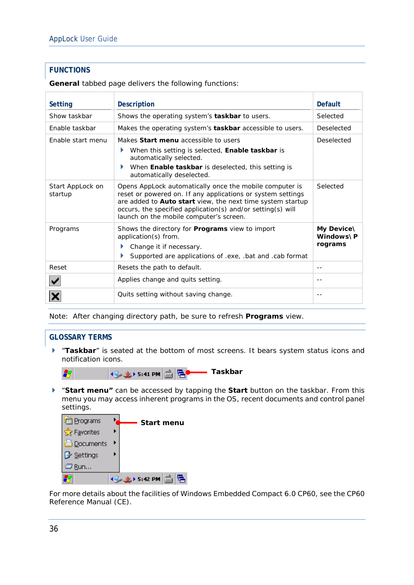### **FUNCTIONS**

**General** tabbed page delivers the following functions:

| Setting                     | <b>Description</b>                                                                                                                                                                                                                                                                             | <b>Default</b>                            |
|-----------------------------|------------------------------------------------------------------------------------------------------------------------------------------------------------------------------------------------------------------------------------------------------------------------------------------------|-------------------------------------------|
| Show taskbar                | Shows the operating system's taskbar to users.                                                                                                                                                                                                                                                 | Selected                                  |
| Enable taskbar              | Makes the operating system's taskbar accessible to users.                                                                                                                                                                                                                                      | Deselected                                |
| Enable start menu           | Makes Start menu accessible to users<br>When this setting is selected, Enable taskbar is<br>automatically selected.<br>When <b>Enable taskbar</b> is deselected, this setting is<br>automatically deselected.                                                                                  | Deselected                                |
| Start AppLock on<br>startup | Opens AppLock automatically once the mobile computer is<br>reset or powered on. If any applications or system settings<br>are added to Auto start view, the next time system startup<br>occurs, the specified application(s) and/or setting(s) will<br>launch on the mobile computer's screen. | Selected                                  |
| Programs                    | Shows the directory for Programs view to import<br>application(s) from.<br>Change it if necessary.<br>Supported are applications of .exe, .bat and .cab format                                                                                                                                 | My Device\<br><b>Windows\P</b><br>rograms |
| Reset                       | Resets the path to default.                                                                                                                                                                                                                                                                    | $ -$                                      |
| ∨                           | Applies change and quits setting.                                                                                                                                                                                                                                                              | $- -$                                     |
|                             | Quits setting without saving change.                                                                                                                                                                                                                                                           | $ -$                                      |

Note: After changing directory path, be sure to refresh **Programs** view.

### **GLOSSARY TERMS**

**Taskbar**" is seated at the bottom of most screens. It bears system status icons and notification icons.



| $ Q_2 $ > 5:41 PM $ \frac{m}{mn} ^{\frac{m}{m}}$ |  |  | Taskbar |
|--------------------------------------------------|--|--|---------|
|--------------------------------------------------|--|--|---------|

 "**Start menu"** can be accessed by tapping the **Start** button on the taskbar. From this menu you may access inherent programs in the OS, recent documents and control panel settings.



For more details about the facilities of Windows Embedded Compact 6.0 CP60, see the CP60 Reference Manual (CE).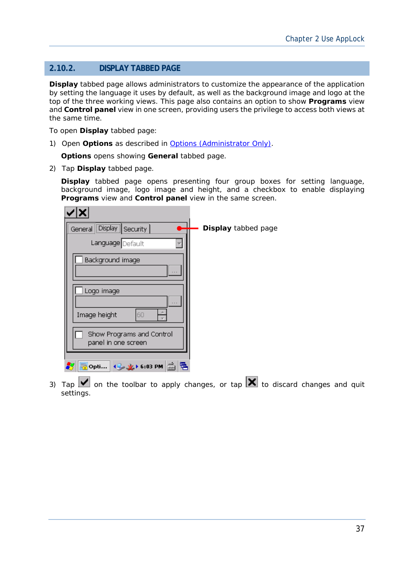## **2.10.2. DISPLAY TABBED PAGE**

**Display** tabbed page allows administrators to customize the appearance of the application by setting the language it uses by default, as well as the background image and logo at the top of the three working views. This page also contains an option to show **Programs** view and **Control panel** view in one screen, providing users the privilege to access both views at the same time.

To open **Display** tabbed page:

1) Open **Options** as described in Options (Administrator Only).

**Options** opens showing **General** tabbed page.

2) Tap **Display** tabbed page.

**Display** tabbed page opens presenting four group boxes for setting language, background image, logo image and height, and a checkbox to enable displaying **Programs** view and **Control panel** view in the same screen.

| General Display Security                         | <b>Display tabbed page</b> |
|--------------------------------------------------|----------------------------|
| Language Default                                 |                            |
| Background image                                 |                            |
| Logo image                                       |                            |
| 60<br>Image height                               |                            |
| Show Programs and Control<br>panel in one screen |                            |
| Opti 4 <del>4 2 1</del> 6:03 PM<br>鹼             |                            |

3) Tap  $\vee$  on the toolbar to apply changes, or tap  $\mathbf{\times}$  to discard changes and quit settings.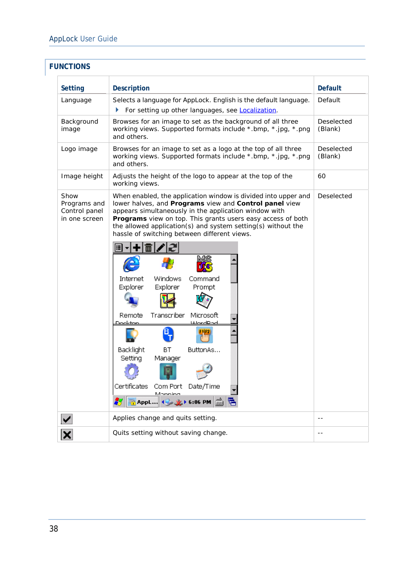| <b>Setting</b>                                                                                                                                                                                                                                                                                                                                                                                                                                                                                                                                                          | <b>Description</b>                                                                                                                           | <b>Default</b>               |
|-------------------------------------------------------------------------------------------------------------------------------------------------------------------------------------------------------------------------------------------------------------------------------------------------------------------------------------------------------------------------------------------------------------------------------------------------------------------------------------------------------------------------------------------------------------------------|----------------------------------------------------------------------------------------------------------------------------------------------|------------------------------|
| Language                                                                                                                                                                                                                                                                                                                                                                                                                                                                                                                                                                | Selects a language for AppLock. English is the default language.<br>For setting up other languages, see Localization.<br>▶                   | Default                      |
| Background<br>image                                                                                                                                                                                                                                                                                                                                                                                                                                                                                                                                                     | Browses for an image to set as the background of all three<br>working views. Supported formats include *.bmp, *.jpg, *.png<br>and others.    | Deselected<br>(Blank)        |
| Logo image                                                                                                                                                                                                                                                                                                                                                                                                                                                                                                                                                              | Browses for an image to set as a logo at the top of all three<br>working views. Supported formats include *.bmp, *.jpg, *.png<br>and others. | <b>Deselected</b><br>(Blank) |
| Image height                                                                                                                                                                                                                                                                                                                                                                                                                                                                                                                                                            | Adjusts the height of the logo to appear at the top of the<br>working views.                                                                 | 60                           |
| Show<br>When enabled, the application window is divided into upper and<br>lower halves, and Programs view and Control panel view<br>Programs and<br>appears simultaneously in the application window with<br>Control panel<br>Programs view on top. This grants users easy access of both<br>in one screen<br>the allowed application(s) and system setting(s) without the<br>hassle of switching between different views.<br>Windows<br>Command<br>Internet<br>Explorer<br>Explorer<br>Prompt<br>Transcriber<br>Microsoft<br>Remote<br>Dockton<br><u>WordDad</u><br>В. |                                                                                                                                              | Deselected                   |
|                                                                                                                                                                                                                                                                                                                                                                                                                                                                                                                                                                         | Backlight<br><b>BT</b><br>ButtonAs<br>Setting<br>Manager<br>Certificates<br>Com Port Date/Time<br>Monning<br><b>Appl</b> 4 2 光 6:06 PM       |                              |
|                                                                                                                                                                                                                                                                                                                                                                                                                                                                                                                                                                         | Applies change and quits setting.                                                                                                            | $ -$                         |
| ×                                                                                                                                                                                                                                                                                                                                                                                                                                                                                                                                                                       | Quits setting without saving change.                                                                                                         | --                           |

## **FUNCTIONS**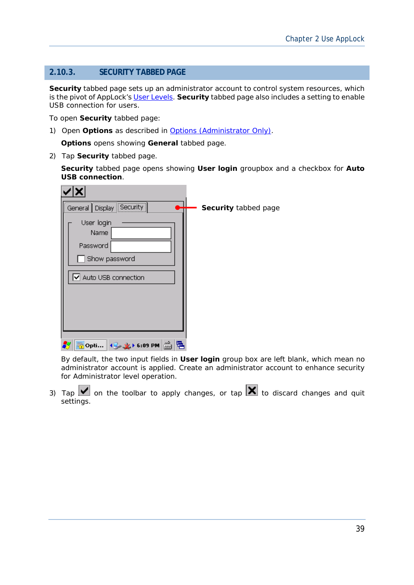## **2.10.3. SECURITY TABBED PAGE**

**Security** tabbed page sets up an administrator account to control system resources, which is the pivot of AppLock's User Levels. **Security** tabbed page also includes a setting to enable USB connection for users.

To open **Security** tabbed page:

1) Open **Options** as described in Options (Administrator Only).

**Options** opens showing **General** tabbed page.

2) Tap **Security** tabbed page.

**Security** tabbed page opens showing **User login** groupbox and a checkbox for **Auto USB connection**.

| General Display<br>Security         | Security tabbed page |
|-------------------------------------|----------------------|
| User login                          |                      |
| Name                                |                      |
| Password                            |                      |
| Show password                       |                      |
| $\triangledown$ Auto USB connection |                      |
|                                     |                      |
|                                     |                      |
|                                     |                      |
|                                     |                      |
| 匾<br>→ Opti 4 → 上 + 6:09 PM<br>昬    |                      |

By default, the two input fields in **User login** group box are left blank, which mean no administrator account is applied. Create an administrator account to enhance security for Administrator level operation.

3) Tap  $\vee$  on the toolbar to apply changes, or tap  $\mathsf{\geq}$  to discard changes and quit settings.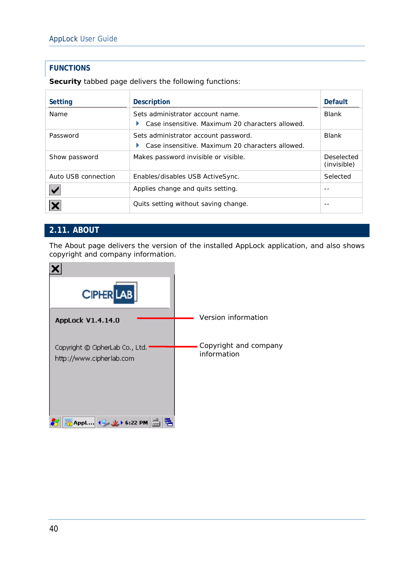#### **FUNCTIONS**

**Security** tabbed page delivers the following functions:

| Setting             | <b>Description</b>                                                                       | <b>Default</b>            |
|---------------------|------------------------------------------------------------------------------------------|---------------------------|
| Name                | Sets administrator account name.<br>Case insensitive. Maximum 20 characters allowed.     | <b>Blank</b>              |
| Password            | Sets administrator account password.<br>Case insensitive. Maximum 20 characters allowed. | <b>Blank</b>              |
| Show password       | Makes password invisible or visible.                                                     | Deselected<br>(invisible) |
| Auto USB connection | Enables/disables USB ActiveSync.                                                         | Selected                  |
| ✔                   | Applies change and quits setting.                                                        |                           |
|                     | Quits setting without saving change.                                                     | --                        |

## **2.11. ABOUT**

The About page delivers the version of the installed AppLock application, and also shows copyright and company information.

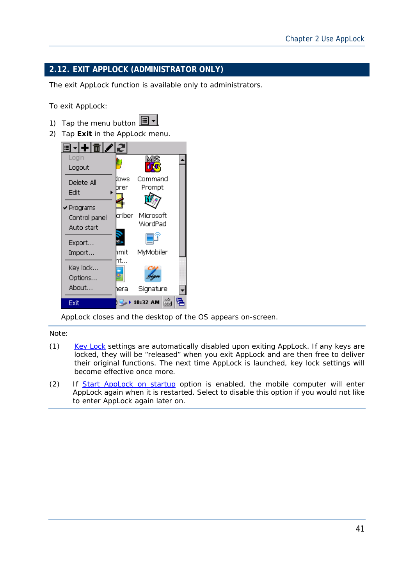## **2.12. EXIT APPLOCK (ADMINISTRATOR ONLY)**

The exit AppLock function is available only to administrators.

To exit AppLock:

- 1) Tap the menu button  $\boxed{1}$ .
- 2) Tap **Exit** in the AppLock menu.



AppLock closes and the desktop of the OS appears on-screen.

Note:

- (1) Key Lock settings are automatically disabled upon exiting AppLock. If any keys are locked, they will be "released" when you exit AppLock and are then free to deliver their original functions. The next time AppLock is launched, key lock settings will become effective once more.
- (2) If Start AppLock on startup option is enabled, the mobile computer will enter AppLock again when it is restarted. Select to disable this option if you would not like to enter AppLock again later on.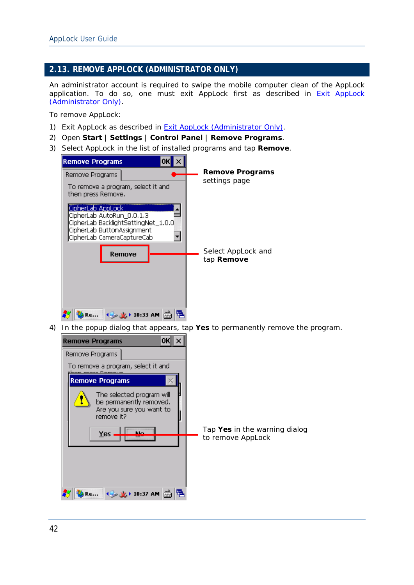## **2.13. REMOVE APPLOCK (ADMINISTRATOR ONLY)**

An administrator account is required to swipe the mobile computer clean of the AppLock application. To do so, one must exit AppLock first as described in **Exit AppLock** (Administrator Only).

To remove AppLock:

- 1) Exit AppLock as described in Exit AppLock (Administrator Only).
- 2) Open **Start** | **Settings** | **Control Panel** | **Remove Programs**.
- 3) Select AppLock in the list of installed programs and tap **Remove**.

| <b>Remove Programs</b>                                                                                                                            |                                  |
|---------------------------------------------------------------------------------------------------------------------------------------------------|----------------------------------|
| Remove Programs                                                                                                                                   | Remove Programs                  |
| To remove a program, select it and<br>then press Remove.                                                                                          | settings page                    |
| CipherLab AppLock<br>CipherLab AutoRun 0.0.1.3<br>CipherLab BacklightSettingNet 1.0.0<br>CipherLab ButtonAssignment<br>CipherLab CameraCaptureCab |                                  |
| Remove                                                                                                                                            | Select AppLock and<br>tap Remove |
| $\frac{1}{2}$ > 10:33 AM                                                                                                                          |                                  |

4) In the popup dialog that appears, tap **Yes** to permanently remove the program.

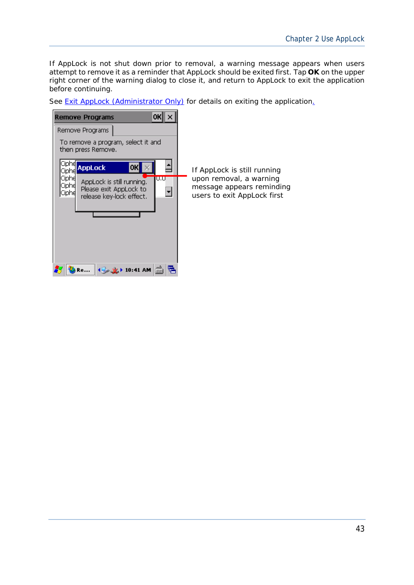If AppLock is not shut down prior to removal, a warning message appears when users attempt to remove it as a reminder that AppLock should be exited first. Tap **OK** on the upper right corner of the warning dialog to close it, and return to AppLock to exit the application before continuing.

See **Exit AppLock (Administrator Only)** for details on exiting the application.

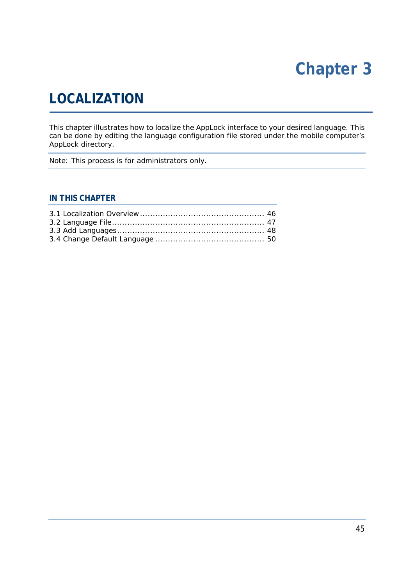# **Chapter 3**

# **LOCALIZATION**

This chapter illustrates how to localize the AppLock interface to your desired language. This can be done by editing the language configuration file stored under the mobile computer's AppLock directory.

Note: This process is for administrators only.

#### **IN THIS CHAPTER**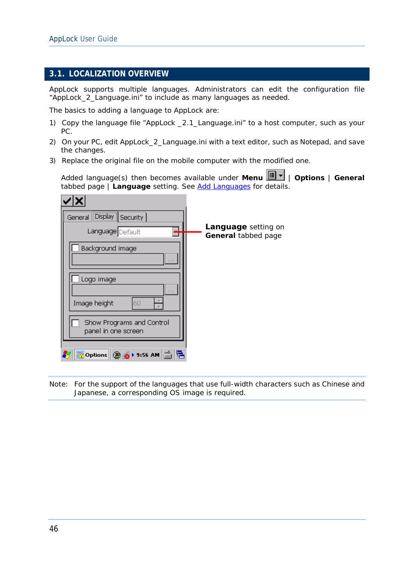## **3.1. LOCALIZATION OVERVIEW**

AppLock supports multiple languages. Administrators can edit the configuration file "AppLock\_2\_Language.ini" to include as many languages as needed.

The basics to adding a language to AppLock are:

- 1) Copy the language file "AppLock \_2.1\_Language.ini" to a host computer, such as your PC.
- 2) On your PC, edit AppLock\_2\_Language.ini with a text editor, such as Notepad, and save the changes.
- 3) Replace the original file on the mobile computer with the modified one.

Added language(s) then becomes available under **Menu** | **Options** | **General** tabbed page | **Language** setting. See Add Languages for details.

| General Display Security                         |                                            |
|--------------------------------------------------|--------------------------------------------|
| Language Default                                 | Language setting on<br>General tabbed page |
| Background image                                 |                                            |
| Logo image                                       |                                            |
| 60<br>Image height                               |                                            |
| Show Programs and Control<br>panel in one screen |                                            |
| Options   ⊕ a 1 9:56 AM  <br>憳                   |                                            |

Note: For the support of the languages that use full-width characters such as Chinese and Japanese, a corresponding OS image is required.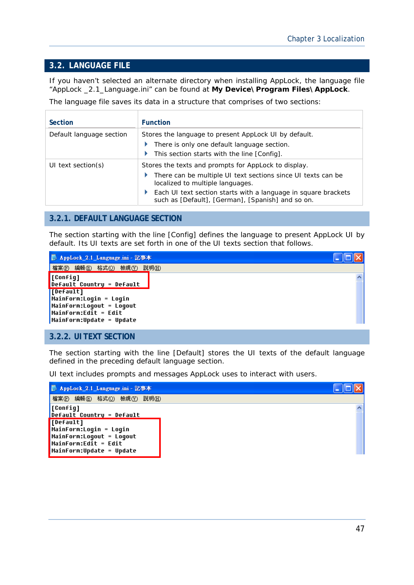## **3.2. LANGUAGE FILE**

If you haven't selected an alternate directory when installing AppLock, the language file "AppLock \_2.1\_Language.ini" can be found at **My Device\Program Files\AppLock**.

The language file saves its data in a structure that comprises of two sections:

| <b>Section</b>           | <b>Function</b>                                                                                                     |  |
|--------------------------|---------------------------------------------------------------------------------------------------------------------|--|
| Default language section | Stores the language to present AppLock UI by default.                                                               |  |
|                          | There is only one default language section.<br>₽                                                                    |  |
|                          | This section starts with the line [Config].                                                                         |  |
| UI text section $(s)$    | Stores the texts and prompts for AppLock to display.                                                                |  |
|                          | There can be multiple UI text sections since UI texts can be<br>localized to multiple languages.                    |  |
|                          | Each UI text section starts with a language in square brackets<br>such as [Default], [German], [Spanish] and so on. |  |

#### **3.2.1. DEFAULT LANGUAGE SECTION**

The section starting with the line [Config] defines the language to present AppLock UI by default. Its UI texts are set forth in one of the UI texts section that follows.



#### **3.2.2. UI TEXT SECTION**

The section starting with the line [Default] stores the UI texts of the default language defined in the preceding default language section.

UI text includes prompts and messages AppLock uses to interact with users.

| ■ AppLock 2.1 Language.ini - 記事本                                                                                        |  |
|-------------------------------------------------------------------------------------------------------------------------|--|
| 檔案(E)  編輯(E)  格式(O)  檢視(Y)  説明(H)                                                                                       |  |
| [[Config]<br>$\Delta$ Default Country = Default                                                                         |  |
| [Default]<br>MainForm:Login = Login<br>$MainForm:Logout = Logout$<br>MainForm:Edit = Edit<br>$MainForm:Update = Update$ |  |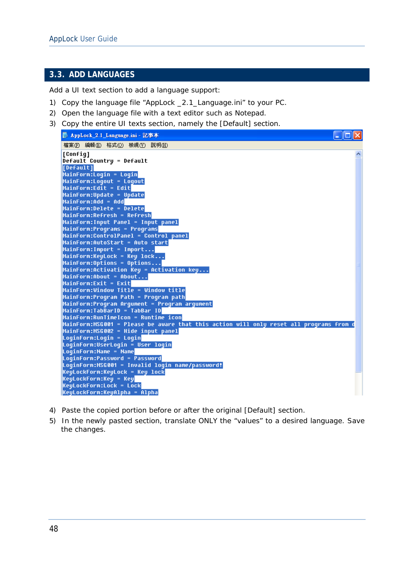#### **3.3. ADD LANGUAGES**

Add a UI text section to add a language support:

- 1) Copy the language file "AppLock \_2.1\_Language.ini" to your PC.
- 2) Open the language file with a text editor such as Notepad.
- 3) Copy the entire UI texts section, namely the [Default] section.



- 4) Paste the copied portion before or after the original [Default] section.
- 5) In the newly pasted section, translate ONLY the "values" to a desired language. Save the changes.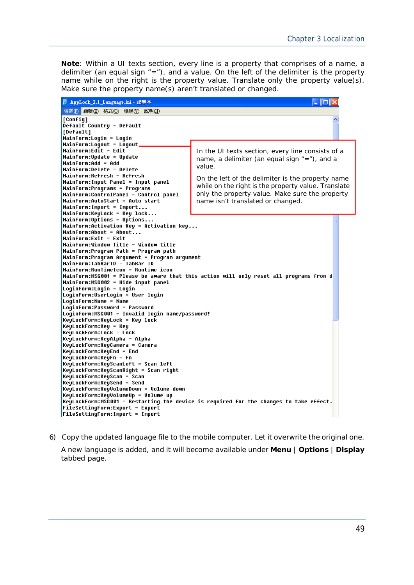**Note**: Within a UI texts section, every line is a property that comprises of a name, a delimiter (an equal sign "="), and a value. On the left of the delimiter is the property name while on the right is the property value. Translate only the property value(s). Make sure the property name(s) aren't translated or changed.

| AppLock_2.1_Language.ini - 記事本                                                                                                                                                                                                                                                                                                                                                                                                                                                                                                                                                                                                                                              |                                                                                                                                                                                                                                                                                                                    |  |
|-----------------------------------------------------------------------------------------------------------------------------------------------------------------------------------------------------------------------------------------------------------------------------------------------------------------------------------------------------------------------------------------------------------------------------------------------------------------------------------------------------------------------------------------------------------------------------------------------------------------------------------------------------------------------------|--------------------------------------------------------------------------------------------------------------------------------------------------------------------------------------------------------------------------------------------------------------------------------------------------------------------|--|
| 檔案(B)  編輯(E)  格式(O)  檢視(Y)  説明(H)                                                                                                                                                                                                                                                                                                                                                                                                                                                                                                                                                                                                                                           |                                                                                                                                                                                                                                                                                                                    |  |
| <b>[Confiq]</b><br>Default Country = Default<br>[Default]<br>MainForm:Loqin = Loqin                                                                                                                                                                                                                                                                                                                                                                                                                                                                                                                                                                                         |                                                                                                                                                                                                                                                                                                                    |  |
| MainForm:Loqout = Loqout_<br>MainForm:Edit = Edit<br>MainForm:Update = Update<br>MainForm:Add = Add<br>MainForm:Delete = Delete<br>MainForm:Refresh = Refresh<br>MainForm:Input Panel = Input panel<br>MainForm:Programs = Programs<br>MainForm:ControlPanel = Control panel<br>MainForm:AutoStart = Auto start<br>MainForm:Import = Import                                                                                                                                                                                                                                                                                                                                 | In the UI texts section, every line consists of a<br>name, a delimiter (an equal sign $"="$ ), and a<br>value.<br>On the left of the delimiter is the property name<br>while on the right is the property value. Translate<br>only the property value. Make sure the property<br>name isn't translated or changed. |  |
| MainForm:KeyLock = Key lock<br>MainForm:Options = Options<br>MainForm:Activation Key = Activation key<br>MainForm:About = About<br>MainForm:Exit = Exit<br>MainForm:Window Title = Window title<br>MainForm:Proqram Path = Proqram path<br>MainForm:Program Argument = Program argument<br>MainForm:TabBarID = TabBar ID<br>MainForm:RunTimeIcon = Runtime icon<br>MainForm:MSG001 = Please be aware that this action will only reset all programs from d<br>MainForm:MSG002 = Hide input panel<br>LoqinForm:Loqin = Loqin<br>LoginForm:UserLogin = User login<br>LoginForm:Name = Name<br>LoqinForm:Password = Password<br>LoqinForm:MSG001 = Invalid loqin name/password! |                                                                                                                                                                                                                                                                                                                    |  |
| KeyLockForm:KeyLock = Key lock<br>KeyLockForm:Key = Key<br><b>KeyLockForm:Lock = Lock</b><br>KeyLockForm:KeyAlpha = Alpha<br>KeyLockForm:KeyCamera = Camera<br>KeyLockForm:KeyEnd = End<br>KeyLockForm:KeyFn = Fn<br>KeyLockForm:KeyScanLeft = Scan left<br>KeyLockForm:KeyScanRight = Scan right<br>KeyLockForm:KeyScan = Scan<br>KeyLockForm:KeySend = Send<br>KeyLockForm:KeyVolumeDown = Volume down<br>KeyLockForm:KeyVolumeUp = Volume up<br>FileSettingForm:Export = Export<br>FileSettingForm:Import = Import                                                                                                                                                       | KeyLockForm:MSG001 = Restarting the device is required for the changes to take effect.                                                                                                                                                                                                                             |  |

6) Copy the updated language file to the mobile computer. Let it overwrite the original one.

A new language is added, and it will become available under **Menu** | **Options** | **Display**  tabbed page.